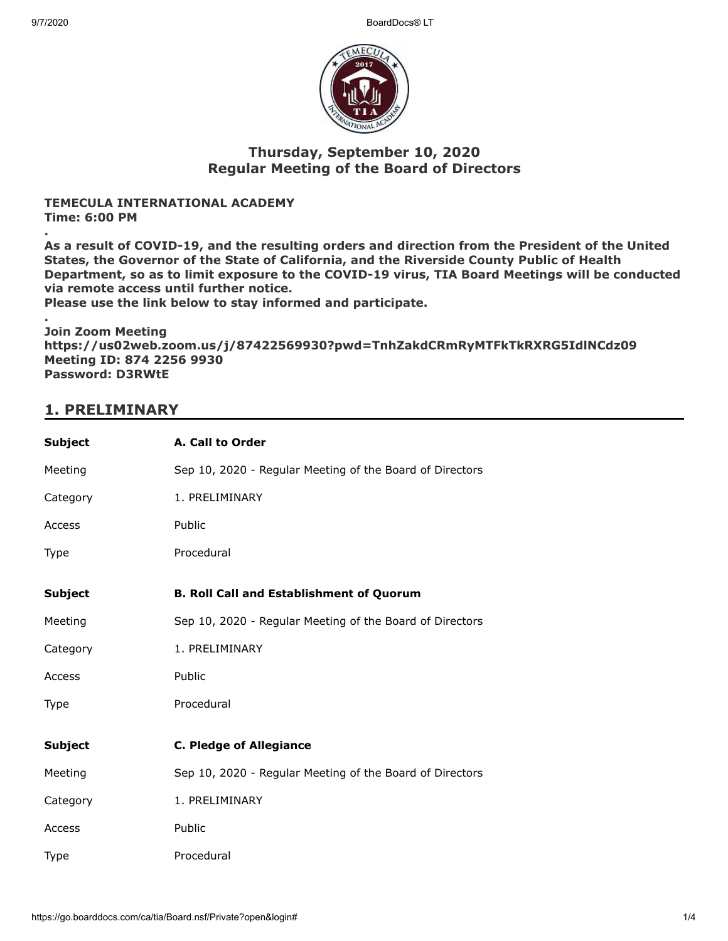9/7/2020 BoardDocs® LT



#### **Thursday, September 10, 2020 Regular Meeting of the Board of Directors**

#### **TEMECULA INTERNATIONAL ACADEMY Time: 6:00 PM**

**.**

**As a result of COVID-19, and the resulting orders and direction from the President of the United States, the Governor of the State of California, and the Riverside County Public of Health Department, so as to limit exposure to the COVID-19 virus, TIA Board Meetings will be conducted via remote access until further notice.**

**Please use the link below to stay informed and participate.**

**. Join Zoom Meeting https://us02web.zoom.us/j/87422569930?pwd=TnhZakdCRmRyMTFkTkRXRG5IdlNCdz09 Meeting ID: 874 2256 9930 Password: D3RWtE**

## **1. PRELIMINARY**

| <b>Subject</b> | A. Call to Order                                         |
|----------------|----------------------------------------------------------|
| Meeting        | Sep 10, 2020 - Regular Meeting of the Board of Directors |
| Category       | 1. PRELIMINARY                                           |
| Access         | Public                                                   |
| Type           | Procedural                                               |
| <b>Subject</b> | <b>B. Roll Call and Establishment of Quorum</b>          |
| Meeting        | Sep 10, 2020 - Regular Meeting of the Board of Directors |
| Category       | 1. PRELIMINARY                                           |
| Access         | Public                                                   |
| Type           | Procedural                                               |
| <b>Subject</b> | <b>C. Pledge of Allegiance</b>                           |
| Meeting        | Sep 10, 2020 - Regular Meeting of the Board of Directors |
| Category       | 1. PRELIMINARY                                           |
| Access         | Public                                                   |
| Type           | Procedural                                               |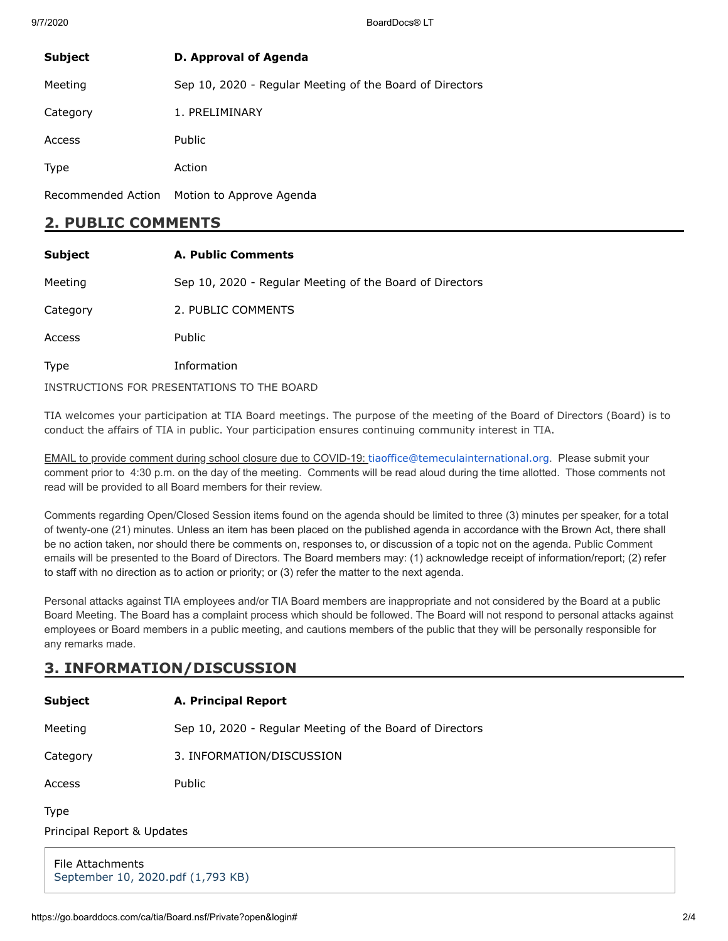9/7/2020 BoardDocs® LT

| <b>Subject</b>     | D. Approval of Agenda                                    |
|--------------------|----------------------------------------------------------|
| Meeting            | Sep 10, 2020 - Regular Meeting of the Board of Directors |
| Category           | 1. PRELIMINARY                                           |
| Access             | <b>Public</b>                                            |
| <b>Type</b>        | Action                                                   |
| Recommended Action | Motion to Approve Agenda                                 |

### **2. PUBLIC COMMENTS**

| <b>Subject</b> | <b>A. Public Comments</b>                                |
|----------------|----------------------------------------------------------|
| Meeting        | Sep 10, 2020 - Regular Meeting of the Board of Directors |
| Category       | 2. PUBLIC COMMENTS                                       |
| Access         | <b>Public</b>                                            |
| <b>Type</b>    | Information                                              |
|                | INSTRUCTIONS FOR PRESENTATIONS TO THE BOARD              |

TIA welcomes your participation at TIA Board meetings. The purpose of the meeting of the Board of Directors (Board) is to conduct the affairs of TIA in public. Your participation ensures continuing community interest in TIA.

EMAIL to provide comment during school closure due to COVID-19: [tiaoffice@temeculainternational.org](mailto:tiaoffice@temeculainternational.org). Please submit your comment prior to 4:30 p.m. on the day of the meeting. Comments will be read aloud during the time allotted. Those comments not read will be provided to all Board members for their review.

Comments regarding Open/Closed Session items found on the agenda should be limited to three (3) minutes per speaker, for a total of twenty-one (21) minutes. Unless an item has been placed on the published agenda in accordance with the Brown Act, there shall be no action taken, nor should there be comments on, responses to, or discussion of a topic not on the agenda. Public Comment emails will be presented to the Board of Directors. The Board members may: (1) acknowledge receipt of information/report; (2) refer to staff with no direction as to action or priority; or (3) refer the matter to the next agenda.

Personal attacks against TIA employees and/or TIA Board members are inappropriate and not considered by the Board at a public Board Meeting. The Board has a complaint process which should be followed. The Board will not respond to personal attacks against employees or Board members in a public meeting, and cautions members of the public that they will be personally responsible for any remarks made.

# **3. INFORMATION/DISCUSSION**

| Subject                                               | A. Principal Report                                      |  |
|-------------------------------------------------------|----------------------------------------------------------|--|
| Meeting                                               | Sep 10, 2020 - Regular Meeting of the Board of Directors |  |
| Category                                              | 3. INFORMATION/DISCUSSION                                |  |
| Access                                                | Public                                                   |  |
| Type                                                  |                                                          |  |
| Principal Report & Updates                            |                                                          |  |
| File Attachments<br>September 10, 2020.pdf (1,793 KB) |                                                          |  |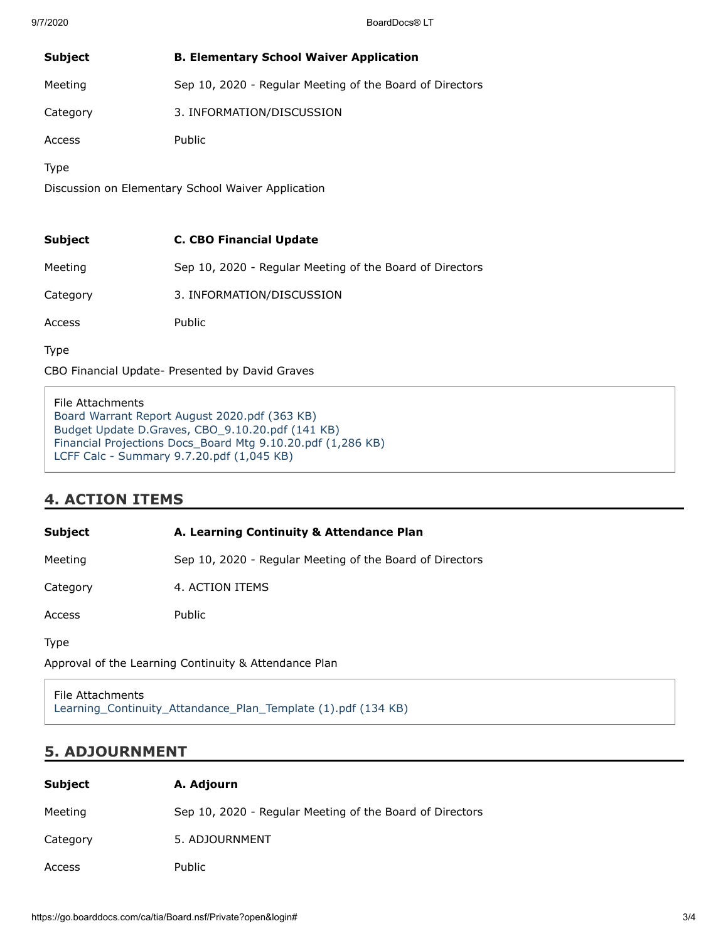| <b>Subject</b>                                     | <b>B. Elementary School Waiver Application</b>           |  |
|----------------------------------------------------|----------------------------------------------------------|--|
| Meeting                                            | Sep 10, 2020 - Regular Meeting of the Board of Directors |  |
| Category                                           | 3. INFORMATION/DISCUSSION                                |  |
| Access                                             | Public                                                   |  |
| <b>Type</b>                                        |                                                          |  |
| Discussion on Elementary School Waiver Application |                                                          |  |
|                                                    |                                                          |  |
| <b>Subject</b>                                     | <b>C. CBO Financial Update</b>                           |  |
| Meeting                                            | Sep 10, 2020 - Regular Meeting of the Board of Directors |  |
| Category                                           | 3. INFORMATION/DISCUSSION                                |  |
| Access                                             | Public                                                   |  |

Type

CBO Financial Update- Presented by David Graves

File Attachments [Board Warrant Report August 2020.pdf \(363 KB\)](https://go.boarddocs.com/ca/tia/Board.nsf/files/BT8TJK7798F2/$file/Board%20Warrant%20Report%20August%202020.pdf) [Budget Update D.Graves, CBO\\_9.10.20.pdf \(141 KB\)](https://go.boarddocs.com/ca/tia/Board.nsf/files/BT8TJM779917/$file/Budget%20Update%20D.Graves%2C%20CBO_9.10.20.pdf) [Financial Projections Docs\\_Board Mtg 9.10.20.pdf \(1,286 KB\)](https://go.boarddocs.com/ca/tia/Board.nsf/files/BT8TJQ7799D2/$file/Financial%20Projections%20Docs_Board%20Mtg%209.10.20.pdf) [LCFF Calc - Summary 9.7.20.pdf \(1,045 KB\)](https://go.boarddocs.com/ca/tia/Board.nsf/files/BT8TJS779A41/$file/LCFF%20Calc%20-%20Summary%209.7.20.pdf)

# **4. ACTION ITEMS**

**Subject A. Learning Continuity & Attendance Plan**

Meeting Sep 10, 2020 - Regular Meeting of the Board of Directors

Category 4. ACTION ITEMS

Access Public

Type

Approval of the Learning Continuity & Attendance Plan

File Attachments [Learning\\_Continuity\\_Attandance\\_Plan\\_Template \(1\).pdf \(134 KB\)](https://go.boarddocs.com/ca/tia/Board.nsf/files/BT8PCE63F450/$file/Learning_Continuity_Attandance_Plan_Template%20(1).pdf)

### **5. ADJOURNMENT**

| Subject  | A. Adjourn                                               |
|----------|----------------------------------------------------------|
| Meeting  | Sep 10, 2020 - Regular Meeting of the Board of Directors |
| Category | 5. ADJOURNMENT                                           |
| Access   | Public                                                   |